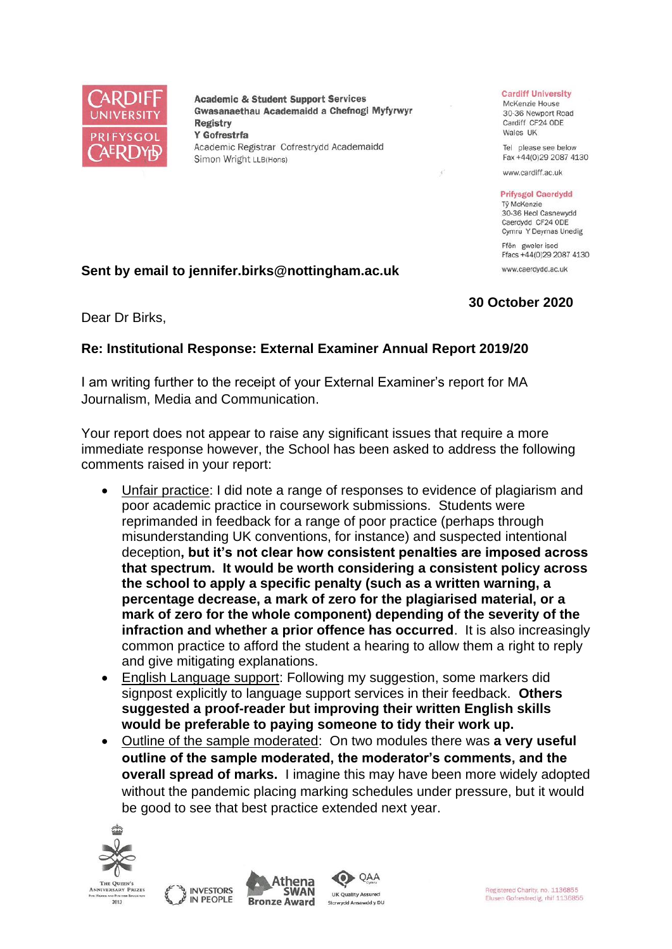

**Academic & Student Support Services** Gwasanaethau Academaidd a Chefnogi Myfyrwyr Registry Y Gofrestrfa Academic Registrar Cofrestrydd Academaidd Simon Wright LLB(Hons)

#### **Cardiff University**

McKenzie House 30-36 Newport Road Cardiff CF24 ODE Wales UK

Tel please see below Fax +44(0)29 2087 4130

www.cardiff.ac.uk

#### **Prifysgol Caerdydd**

Tỷ McKenzie 30-36 Heol Casnewydd Caerdydd CF24 ODE Cymru Y Deyrnas Unedig

Ffôn gweler isod Ffacs +44(0)29 2087 4130 www.caerdydd.ac.uk

## **30 October 2020**

Dear Dr Birks,

## **Re: Institutional Response: External Examiner Annual Report 2019/20**

**Sent by email to jennifer.birks@nottingham.ac.uk**

I am writing further to the receipt of your External Examiner's report for MA Journalism, Media and Communication.

Your report does not appear to raise any significant issues that require a more immediate response however, the School has been asked to address the following comments raised in your report:

- Unfair practice: I did note a range of responses to evidence of plagiarism and poor academic practice in coursework submissions. Students were reprimanded in feedback for a range of poor practice (perhaps through misunderstanding UK conventions, for instance) and suspected intentional deception**, but it's not clear how consistent penalties are imposed across that spectrum. It would be worth considering a consistent policy across the school to apply a specific penalty (such as a written warning, a percentage decrease, a mark of zero for the plagiarised material, or a mark of zero for the whole component) depending of the severity of the infraction and whether a prior offence has occurred**. It is also increasingly common practice to afford the student a hearing to allow them a right to reply and give mitigating explanations.
- English Language support: Following my suggestion, some markers did signpost explicitly to language support services in their feedback. **Others suggested a proof-reader but improving their written English skills would be preferable to paying someone to tidy their work up.**
- Outline of the sample moderated: On two modules there was **a very useful outline of the sample moderated, the moderator's comments, and the overall spread of marks.** I imagine this may have been more widely adopted without the pandemic placing marking schedules under pressure, but it would be good to see that best practice extended next year.